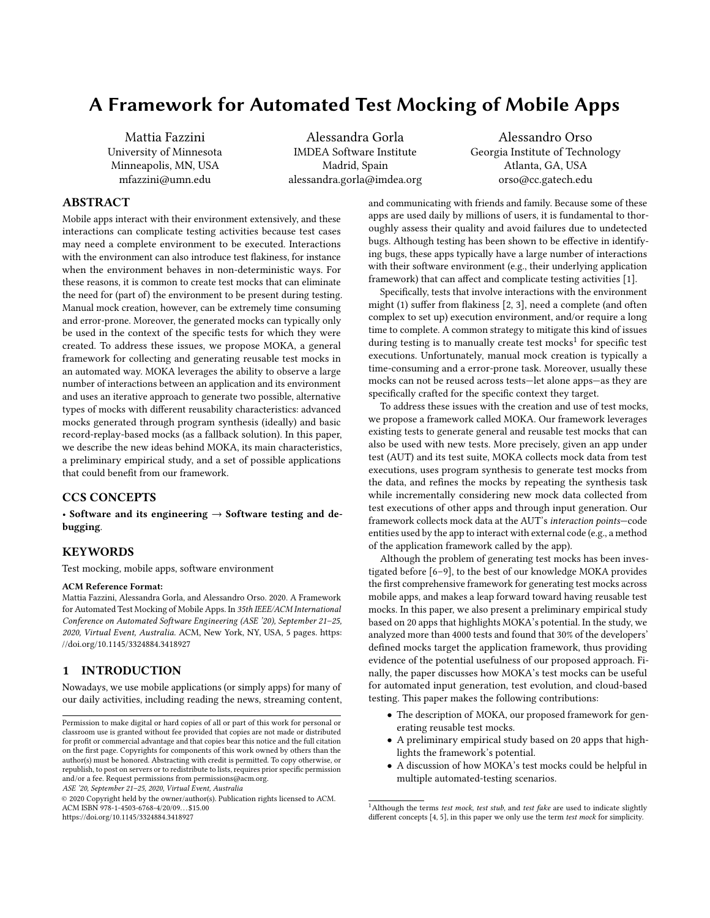# A Framework for Automated Test Mocking of Mobile Apps

Mattia Fazzini University of Minnesota Minneapolis, MN, USA mfazzini@umn.edu

Alessandra Gorla IMDEA Software Institute Madrid, Spain alessandra.gorla@imdea.org

Alessandro Orso Georgia Institute of Technology Atlanta, GA, USA orso@cc.gatech.edu

#### ABSTRACT

Mobile apps interact with their environment extensively, and these interactions can complicate testing activities because test cases may need a complete environment to be executed. Interactions with the environment can also introduce test flakiness, for instance when the environment behaves in non-deterministic ways. For these reasons, it is common to create test mocks that can eliminate the need for (part of) the environment to be present during testing. Manual mock creation, however, can be extremely time consuming and error-prone. Moreover, the generated mocks can typically only be used in the context of the specific tests for which they were created. To address these issues, we propose MOKA, a general framework for collecting and generating reusable test mocks in an automated way. MOKA leverages the ability to observe a large number of interactions between an application and its environment and uses an iterative approach to generate two possible, alternative types of mocks with different reusability characteristics: advanced mocks generated through program synthesis (ideally) and basic record-replay-based mocks (as a fallback solution). In this paper, we describe the new ideas behind MOKA, its main characteristics, a preliminary empirical study, and a set of possible applications that could benefit from our framework.

#### CCS CONCEPTS

• Software and its engineering  $\rightarrow$  Software testing and debugging.

## **KEYWORDS**

Test mocking, mobile apps, software environment

#### ACM Reference Format:

Mattia Fazzini, Alessandra Gorla, and Alessandro Orso. 2020. A Framework for Automated Test Mocking of Mobile Apps. In 35th IEEE/ACM International Conference on Automated Software Engineering (ASE '20), September 21–25, 2020, Virtual Event, Australia. ACM, New York, NY, USA, 5 pages. https: //doi.org/10.1145/3324884.3418927

## 1 INTRODUCTION

Nowadays, we use mobile applications (or simply apps) for many of our daily activities, including reading the news, streaming content,

ASE '20, September 21–25, 2020, Virtual Event, Australia

© 2020 Copyright held by the owner/author(s). Publication rights licensed to ACM. ACM ISBN 978-1-4503-6768-4/20/09. . . \$15.00 https://doi.org/10.1145/3324884.3418927

and communicating with friends and family. Because some of these apps are used daily by millions of users, it is fundamental to thoroughly assess their quality and avoid failures due to undetected bugs. Although testing has been shown to be effective in identifying bugs, these apps typically have a large number of interactions with their software environment (e.g., their underlying application framework) that can affect and complicate testing activities [1].

Specifically, tests that involve interactions with the environment might (1) suffer from flakiness [2, 3], need a complete (and often complex to set up) execution environment, and/or require a long time to complete. A common strategy to mitigate this kind of issues during testing is to manually create test mocks<sup>1</sup> for specific test executions. Unfortunately, manual mock creation is typically a time-consuming and a error-prone task. Moreover, usually these mocks can not be reused across tests—let alone apps—as they are specifically crafted for the specific context they target.

To address these issues with the creation and use of test mocks, we propose a framework called MOKA. Our framework leverages existing tests to generate general and reusable test mocks that can also be used with new tests. More precisely, given an app under test (AUT) and its test suite, MOKA collects mock data from test executions, uses program synthesis to generate test mocks from the data, and refines the mocks by repeating the synthesis task while incrementally considering new mock data collected from test executions of other apps and through input generation. Our framework collects mock data at the AUT's interaction points—code entities used by the app to interact with external code (e.g., a method of the application framework called by the app).

Although the problem of generating test mocks has been investigated before [6–9], to the best of our knowledge MOKA provides the first comprehensive framework for generating test mocks across mobile apps, and makes a leap forward toward having reusable test mocks. In this paper, we also present a preliminary empirical study based on 20 apps that highlights MOKA's potential. In the study, we analyzed more than 4000 tests and found that 30% of the developers' defined mocks target the application framework, thus providing evidence of the potential usefulness of our proposed approach. Finally, the paper discusses how MOKA's test mocks can be useful for automated input generation, test evolution, and cloud-based testing. This paper makes the following contributions:

- The description of MOKA, our proposed framework for generating reusable test mocks.
- A preliminary empirical study based on 20 apps that highlights the framework's potential.
- A discussion of how MOKA's test mocks could be helpful in multiple automated-testing scenarios.

Permission to make digital or hard copies of all or part of this work for personal or classroom use is granted without fee provided that copies are not made or distributed for profit or commercial advantage and that copies bear this notice and the full citation on the first page. Copyrights for components of this work owned by others than the author(s) must be honored. Abstracting with credit is permitted. To copy otherwise, or republish, to post on servers or to redistribute to lists, requires prior specific permission and/or a fee. Request permissions from permissions@acm.org.

<sup>&</sup>lt;sup>1</sup> Although the terms test mock, test stub, and test fake are used to indicate slightly different concepts [4, 5], in this paper we only use the term test mock for simplicity.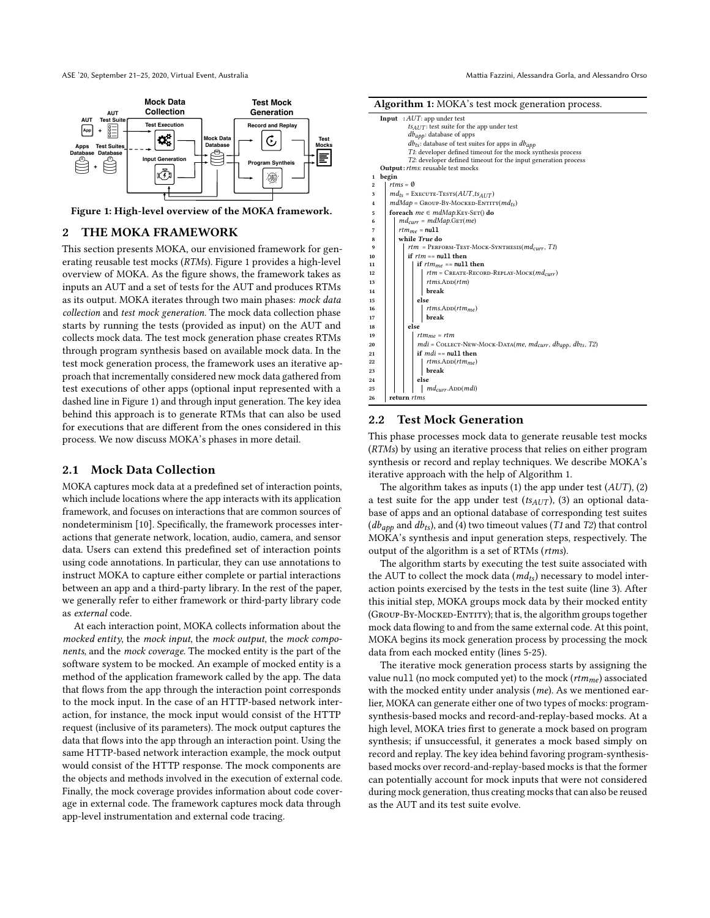

Figure 1: High-level overview of the MOKA framework.

#### 2 THE MOKA FRAMEWORK

This section presents MOKA, our envisioned framework for generating reusable test mocks (RTMs). Figure 1 provides a high-level overview of MOKA. As the figure shows, the framework takes as inputs an AUT and a set of tests for the AUT and produces RTMs as its output. MOKA iterates through two main phases: mock data collection and test mock generation. The mock data collection phase starts by running the tests (provided as input) on the AUT and collects mock data. The test mock generation phase creates RTMs through program synthesis based on available mock data. In the test mock generation process, the framework uses an iterative approach that incrementally considered new mock data gathered from test executions of other apps (optional input represented with a dashed line in Figure 1) and through input generation. The key idea behind this approach is to generate RTMs that can also be used for executions that are different from the ones considered in this process. We now discuss MOKA's phases in more detail.

#### 2.1 Mock Data Collection

MOKA captures mock data at a predefined set of interaction points, which include locations where the app interacts with its application framework, and focuses on interactions that are common sources of nondeterminism [10]. Specifically, the framework processes interactions that generate network, location, audio, camera, and sensor data. Users can extend this predefined set of interaction points using code annotations. In particular, they can use annotations to instruct MOKA to capture either complete or partial interactions between an app and a third-party library. In the rest of the paper, we generally refer to either framework or third-party library code as external code.

At each interaction point, MOKA collects information about the mocked entity, the mock input, the mock output, the mock components, and the mock coverage. The mocked entity is the part of the software system to be mocked. An example of mocked entity is a method of the application framework called by the app. The data that flows from the app through the interaction point corresponds to the mock input. In the case of an HTTP-based network interaction, for instance, the mock input would consist of the HTTP request (inclusive of its parameters). The mock output captures the data that flows into the app through an interaction point. Using the same HTTP-based network interaction example, the mock output would consist of the HTTP response. The mock components are the objects and methods involved in the execution of external code. Finally, the mock coverage provides information about code coverage in external code. The framework captures mock data through app-level instrumentation and external code tracing.

| <b>Algorithm 1:</b> MOKA s test mock generation process.                                    |                             |  |  |  |  |  |  |  |  |
|---------------------------------------------------------------------------------------------|-----------------------------|--|--|--|--|--|--|--|--|
| <b>Input</b> : $AUT$ : app under test                                                       |                             |  |  |  |  |  |  |  |  |
| $ts_{AUT}$ : test suite for the app under test                                              |                             |  |  |  |  |  |  |  |  |
| $db_{app}$ : database of apps                                                               |                             |  |  |  |  |  |  |  |  |
| $db_{ts}$ : database of test suites for apps in $db_{app}$                                  |                             |  |  |  |  |  |  |  |  |
| T1: developer defined timeout for the mock synthesis process                                |                             |  |  |  |  |  |  |  |  |
| T2: developer defined timeout for the input generation process                              |                             |  |  |  |  |  |  |  |  |
| <b>Output:</b> rtms: reusable test mocks                                                    |                             |  |  |  |  |  |  |  |  |
| begin<br>1                                                                                  |                             |  |  |  |  |  |  |  |  |
| rtms = $\emptyset$<br>$\overline{\mathbf{2}}$                                               |                             |  |  |  |  |  |  |  |  |
| $md_{ts}$ = EXECUTE-TESTS( $AUT,ts_{AUT}$ )<br>3                                            |                             |  |  |  |  |  |  |  |  |
| $mdMap =$ Group-By-Mocked-Entity $(md_{ts})$<br>$\overline{\mathbf{4}}$                     |                             |  |  |  |  |  |  |  |  |
| foreach $me \in mdMap.K$ EY-SET() do<br>5                                                   |                             |  |  |  |  |  |  |  |  |
| 6                                                                                           | $md_{curr} = mdMap.GET(me)$ |  |  |  |  |  |  |  |  |
| $rtm_{me}$ = null<br>7                                                                      |                             |  |  |  |  |  |  |  |  |
| while True do<br>8                                                                          |                             |  |  |  |  |  |  |  |  |
| $rtm$ = PERFORM-TEST-MOCK-SYNTHESIS( $md_{curr}$ , T1)<br>9                                 |                             |  |  |  |  |  |  |  |  |
| if $rtm == null$ then<br>10                                                                 |                             |  |  |  |  |  |  |  |  |
| if $rtm_{me} == \text{null}$ then<br>11                                                     |                             |  |  |  |  |  |  |  |  |
| $rtm =$ CREATE-RECORD-REPLAY-MOCK( $md_{curr}$ )<br>12                                      |                             |  |  |  |  |  |  |  |  |
| $rtms$ . $ADD(rtm)$<br>13                                                                   |                             |  |  |  |  |  |  |  |  |
| break<br>14                                                                                 |                             |  |  |  |  |  |  |  |  |
| else<br>15                                                                                  |                             |  |  |  |  |  |  |  |  |
| $rtms$ . $ADD(rtmme)$<br>16                                                                 |                             |  |  |  |  |  |  |  |  |
| break<br>17                                                                                 |                             |  |  |  |  |  |  |  |  |
| else<br>18                                                                                  |                             |  |  |  |  |  |  |  |  |
| $rtm_{me} = rtm$<br>19                                                                      |                             |  |  |  |  |  |  |  |  |
| $mdi =$ COLLECT-NEW-MOCK-DATA( <i>me</i> , $md_{curr}$ , $db_{app}$ , $db_{ts}$ , T2)<br>20 |                             |  |  |  |  |  |  |  |  |
| if $mdi == \text{null}$ then<br>21                                                          |                             |  |  |  |  |  |  |  |  |
| $rtms$ .ADD $(rtm_{me})$<br>22                                                              |                             |  |  |  |  |  |  |  |  |
| break<br>23                                                                                 |                             |  |  |  |  |  |  |  |  |
| else<br>24                                                                                  |                             |  |  |  |  |  |  |  |  |
| $md_{curr}$ .ADD $(mdi)$<br>25                                                              |                             |  |  |  |  |  |  |  |  |
| return <i>rtms</i><br>26                                                                    |                             |  |  |  |  |  |  |  |  |

### 2.2 Test Mock Generation

 $A \cup A \cup A \cap V$ 

This phase processes mock data to generate reusable test mocks (RTMs) by using an iterative process that relies on either program synthesis or record and replay techniques. We describe MOKA's iterative approach with the help of Algorithm 1.

The algorithm takes as inputs (1) the app under test  $(AUT)$ , (2) a test suite for the app under test  $(ts_{AUT})$ , (3) an optional database of apps and an optional database of corresponding test suites  $(db<sub>apo</sub>$  and  $db<sub>ts</sub>$ ), and (4) two timeout values (T1 and T2) that control MOKA's synthesis and input generation steps, respectively. The output of the algorithm is a set of RTMs (rtms).

The algorithm starts by executing the test suite associated with the AUT to collect the mock data  $(md_{ts})$  necessary to model interaction points exercised by the tests in the test suite (line 3). After this initial step, MOKA groups mock data by their mocked entity (GROUP-BY-MOCKED-ENTITY); that is, the algorithm groups together mock data flowing to and from the same external code. At this point, MOKA begins its mock generation process by processing the mock data from each mocked entity (lines 5-25).

The iterative mock generation process starts by assigning the value null (no mock computed yet) to the mock  $(rtm_{me})$  associated with the mocked entity under analysis (me). As we mentioned earlier, MOKA can generate either one of two types of mocks: programsynthesis-based mocks and record-and-replay-based mocks. At a high level, MOKA tries first to generate a mock based on program synthesis; if unsuccessful, it generates a mock based simply on record and replay. The key idea behind favoring program-synthesisbased mocks over record-and-replay-based mocks is that the former can potentially account for mock inputs that were not considered during mock generation, thus creating mocks that can also be reused as the AUT and its test suite evolve.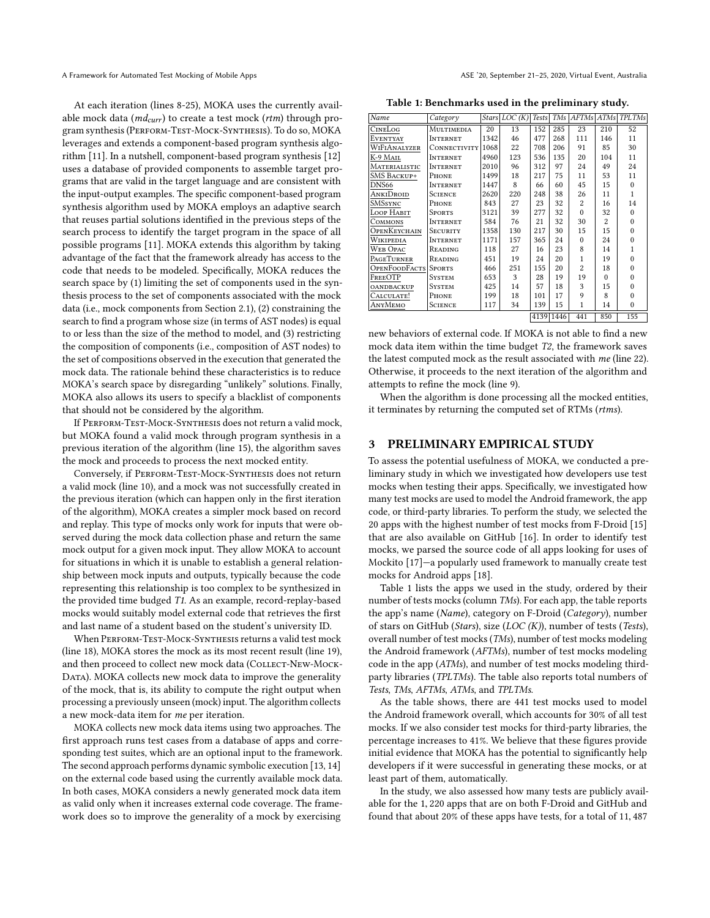At each iteration (lines 8-25), MOKA uses the currently available mock data ( $md_{curr}$ ) to create a test mock ( $rtm$ ) through program synthesis (Perform-Test-Mock-Synthesis). To do so, MOKA leverages and extends a component-based program synthesis algorithm [11]. In a nutshell, component-based program synthesis [12] uses a database of provided components to assemble target programs that are valid in the target language and are consistent with the input-output examples. The specific component-based program synthesis algorithm used by MOKA employs an adaptive search that reuses partial solutions identified in the previous steps of the search process to identify the target program in the space of all possible programs [11]. MOKA extends this algorithm by taking advantage of the fact that the framework already has access to the code that needs to be modeled. Specifically, MOKA reduces the search space by (1) limiting the set of components used in the synthesis process to the set of components associated with the mock data (i.e., mock components from Section 2.1), (2) constraining the search to find a program whose size (in terms of AST nodes) is equal to or less than the size of the method to model, and (3) restricting the composition of components (i.e., composition of AST nodes) to the set of compositions observed in the execution that generated the mock data. The rationale behind these characteristics is to reduce MOKA's search space by disregarding "unlikely" solutions. Finally, MOKA also allows its users to specify a blacklist of components that should not be considered by the algorithm.

If Perform-Test-Mock-Synthesis does not return a valid mock, but MOKA found a valid mock through program synthesis in a previous iteration of the algorithm (line 15), the algorithm saves the mock and proceeds to process the next mocked entity.

Conversely, if Perform-Test-Mock-Synthesis does not return a valid mock (line 10), and a mock was not successfully created in the previous iteration (which can happen only in the first iteration of the algorithm), MOKA creates a simpler mock based on record and replay. This type of mocks only work for inputs that were observed during the mock data collection phase and return the same mock output for a given mock input. They allow MOKA to account for situations in which it is unable to establish a general relationship between mock inputs and outputs, typically because the code representing this relationship is too complex to be synthesized in the provided time budged T1. As an example, record-replay-based mocks would suitably model external code that retrieves the first and last name of a student based on the student's university ID.

When PERFORM-TEST-MOCK-SYNTHESIS returns a valid test mock (line 18), MOKA stores the mock as its most recent result (line 19), and then proceed to collect new mock data (COLLECT-NEW-MOCK-DATA). MOKA collects new mock data to improve the generality of the mock, that is, its ability to compute the right output when processing a previously unseen (mock) input. The algorithm collects a new mock-data item for me per iteration.

MOKA collects new mock data items using two approaches. The first approach runs test cases from a database of apps and corresponding test suites, which are an optional input to the framework. The second approach performs dynamic symbolic execution [13, 14] on the external code based using the currently available mock data. In both cases, MOKA considers a newly generated mock data item as valid only when it increases external code coverage. The framework does so to improve the generality of a mock by exercising

Table 1: Benchmarks used in the preliminary study.

| Name                 | Category        |      | $Stars$ LOC $(K)$ | <b>Tests</b> |     | TMs AFTMs      | ATMs           | <b>TPLTMs</b> |
|----------------------|-----------------|------|-------------------|--------------|-----|----------------|----------------|---------------|
| CINELOG              | MULTIMEDIA      | 20   | 13                | 152          | 285 | 23             | 210            | 52            |
| <b>EVENTYAY</b>      | <b>INTERNET</b> | 1342 | 46                | 477          | 268 | 111            | 146            | 11            |
| WIFIANALYZER         | CONNECTIVITY    | 1068 | 22                | 708          | 206 | 91             | 85             | 30            |
| K-9 MAIL             | <b>INTERNET</b> | 4960 | 123               | 536          | 135 | 20             | 104            | 11            |
| MATERIALISTIC        | <b>INTERNET</b> | 2010 | 96                | 312          | 97  | 24             | 49             | 24            |
| <b>SMS BACKUP+</b>   | PHONE           | 1499 | 18                | 217          | 75  | 11             | 53             | 11            |
| DNS <sub>66</sub>    | <b>INTERNET</b> | 1447 | 8                 | 66           | 60  | 45             | 15             | $\Omega$      |
| ANKIDROID            | <b>SCIENCE</b>  | 2620 | 220               | 248          | 38  | 26             | 11             | 1             |
| SMSSYNC              | PHONE           | 843  | 27                | 23           | 32  | $\overline{c}$ | 16             | 14            |
| LOOP HABIT           | <b>SPORTS</b>   | 3121 | 39                | 277          | 32  | $\Omega$       | 32             | $\Omega$      |
| COMMONS              | INTERNET        | 584  | 76                | 21           | 32  | 30             | $\overline{c}$ | $\Omega$      |
| OPENKEYCHAIN         | <b>SECURITY</b> | 1358 | 130               | 217          | 30  | 15             | 15             | $\Omega$      |
| WIKIPEDIA            | <b>INTERNET</b> | 1171 | 157               | 365          | 24  | $\Omega$       | 24             | $\Omega$      |
| <b>WEB OPAC</b>      | READING         | 118  | 27                | 16           | 23  | 8              | 14             | 1             |
| PAGETURNER           | READING         | 451  | 19                | 24           | 20  | 1              | 19             | $\Omega$      |
| <b>OPENFOODFACTS</b> | <b>SPORTS</b>   | 466  | 251               | 155          | 20  | $\overline{c}$ | 18             | $\Omega$      |
| FREEOTP              | <b>SYSTEM</b>   | 653  | 3                 | 28           | 19  | 19             | $\Omega$       | $\Omega$      |
| <b>OANDBACKUP</b>    | <b>SYSTEM</b>   | 425  | 14                | 57           | 18  | 3              | 15             | $\Omega$      |
| CALCULATE!           | PHONE           | 199  | 18                | 101          | 17  | 9              | 8              | $\Omega$      |
| АлүМемо              | <b>SCIENCE</b>  | 117  | 34                | 139          | 15  | 1              | 14             | $\Omega$      |
|                      |                 |      |                   | 4139 1446    |     | 441            | 850            | 155           |

new behaviors of external code. If MOKA is not able to find a new mock data item within the time budget T2, the framework saves the latest computed mock as the result associated with me (line 22). Otherwise, it proceeds to the next iteration of the algorithm and attempts to refine the mock (line 9).

When the algorithm is done processing all the mocked entities, it terminates by returning the computed set of RTMs (rtms).

#### 3 PRELIMINARY EMPIRICAL STUDY

To assess the potential usefulness of MOKA, we conducted a preliminary study in which we investigated how developers use test mocks when testing their apps. Specifically, we investigated how many test mocks are used to model the Android framework, the app code, or third-party libraries. To perform the study, we selected the 20 apps with the highest number of test mocks from F-Droid [15] that are also available on GitHub [16]. In order to identify test mocks, we parsed the source code of all apps looking for uses of Mockito [17]—a popularly used framework to manually create test mocks for Android apps [18].

Table 1 lists the apps we used in the study, ordered by their number of tests mocks (column TMs). For each app, the table reports the app's name (Name), category on F-Droid (Category), number of stars on GitHub (Stars), size (LOC (K)), number of tests (Tests), overall number of test mocks (TMs), number of test mocks modeling the Android framework (AFTMs), number of test mocks modeling code in the app (ATMs), and number of test mocks modeling thirdparty libraries (TPLTMs). The table also reports total numbers of Tests, TMs, AFTMs, ATMs, and TPLTMs.

As the table shows, there are 441 test mocks used to model the Android framework overall, which accounts for 30% of all test mocks. If we also consider test mocks for third-party libraries, the percentage increases to 41%. We believe that these figures provide initial evidence that MOKA has the potential to significantly help developers if it were successful in generating these mocks, or at least part of them, automatically.

In the study, we also assessed how many tests are publicly available for the <sup>1</sup>, <sup>220</sup> apps that are on both F-Droid and GitHub and found that about 20% of these apps have tests, for a total of <sup>11</sup>, <sup>487</sup>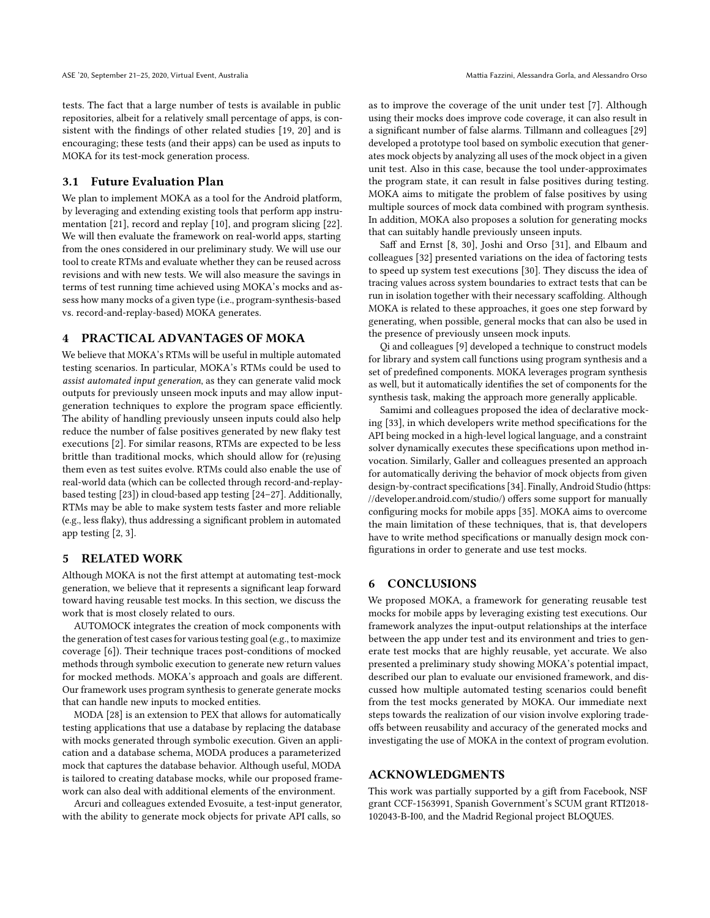tests. The fact that a large number of tests is available in public repositories, albeit for a relatively small percentage of apps, is consistent with the findings of other related studies [19, 20] and is encouraging; these tests (and their apps) can be used as inputs to MOKA for its test-mock generation process.

## 3.1 Future Evaluation Plan

We plan to implement MOKA as a tool for the Android platform, by leveraging and extending existing tools that perform app instrumentation [21], record and replay [10], and program slicing [22]. We will then evaluate the framework on real-world apps, starting from the ones considered in our preliminary study. We will use our tool to create RTMs and evaluate whether they can be reused across revisions and with new tests. We will also measure the savings in terms of test running time achieved using MOKA's mocks and assess how many mocks of a given type (i.e., program-synthesis-based vs. record-and-replay-based) MOKA generates.

## 4 PRACTICAL ADVANTAGES OF MOKA

We believe that MOKA's RTMs will be useful in multiple automated testing scenarios. In particular, MOKA's RTMs could be used to assist automated input generation, as they can generate valid mock outputs for previously unseen mock inputs and may allow inputgeneration techniques to explore the program space efficiently. The ability of handling previously unseen inputs could also help reduce the number of false positives generated by new flaky test executions [2]. For similar reasons, RTMs are expected to be less brittle than traditional mocks, which should allow for (re)using them even as test suites evolve. RTMs could also enable the use of real-world data (which can be collected through record-and-replaybased testing [23]) in cloud-based app testing [24–27]. Additionally, RTMs may be able to make system tests faster and more reliable (e.g., less flaky), thus addressing a significant problem in automated app testing [2, 3].

#### 5 RELATED WORK

Although MOKA is not the first attempt at automating test-mock generation, we believe that it represents a significant leap forward toward having reusable test mocks. In this section, we discuss the work that is most closely related to ours.

AUTOMOCK integrates the creation of mock components with the generation of test cases for various testing goal (e.g., to maximize coverage [6]). Their technique traces post-conditions of mocked methods through symbolic execution to generate new return values for mocked methods. MOKA's approach and goals are different. Our framework uses program synthesis to generate generate mocks that can handle new inputs to mocked entities.

MODA [28] is an extension to PEX that allows for automatically testing applications that use a database by replacing the database with mocks generated through symbolic execution. Given an application and a database schema, MODA produces a parameterized mock that captures the database behavior. Although useful, MODA is tailored to creating database mocks, while our proposed framework can also deal with additional elements of the environment.

Arcuri and colleagues extended Evosuite, a test-input generator, with the ability to generate mock objects for private API calls, so

as to improve the coverage of the unit under test [7]. Although using their mocks does improve code coverage, it can also result in a significant number of false alarms. Tillmann and colleagues [29] developed a prototype tool based on symbolic execution that generates mock objects by analyzing all uses of the mock object in a given unit test. Also in this case, because the tool under-approximates the program state, it can result in false positives during testing. MOKA aims to mitigate the problem of false positives by using multiple sources of mock data combined with program synthesis. In addition, MOKA also proposes a solution for generating mocks that can suitably handle previously unseen inputs.

Saff and Ernst [8, 30], Joshi and Orso [31], and Elbaum and colleagues [32] presented variations on the idea of factoring tests to speed up system test executions [30]. They discuss the idea of tracing values across system boundaries to extract tests that can be run in isolation together with their necessary scaffolding. Although MOKA is related to these approaches, it goes one step forward by generating, when possible, general mocks that can also be used in the presence of previously unseen mock inputs.

Qi and colleagues [9] developed a technique to construct models for library and system call functions using program synthesis and a set of predefined components. MOKA leverages program synthesis as well, but it automatically identifies the set of components for the synthesis task, making the approach more generally applicable.

Samimi and colleagues proposed the idea of declarative mocking [33], in which developers write method specifications for the API being mocked in a high-level logical language, and a constraint solver dynamically executes these specifications upon method invocation. Similarly, Galler and colleagues presented an approach for automatically deriving the behavior of mock objects from given design-by-contract specifications [34]. Finally, Android Studio (https: //developer.android.com/studio/) offers some support for manually configuring mocks for mobile apps [35]. MOKA aims to overcome the main limitation of these techniques, that is, that developers have to write method specifications or manually design mock configurations in order to generate and use test mocks.

## 6 CONCLUSIONS

We proposed MOKA, a framework for generating reusable test mocks for mobile apps by leveraging existing test executions. Our framework analyzes the input-output relationships at the interface between the app under test and its environment and tries to generate test mocks that are highly reusable, yet accurate. We also presented a preliminary study showing MOKA's potential impact, described our plan to evaluate our envisioned framework, and discussed how multiple automated testing scenarios could benefit from the test mocks generated by MOKA. Our immediate next steps towards the realization of our vision involve exploring tradeoffs between reusability and accuracy of the generated mocks and investigating the use of MOKA in the context of program evolution.

#### ACKNOWLEDGMENTS

This work was partially supported by a gift from Facebook, NSF grant CCF-1563991, Spanish Government's SCUM grant RTI2018- 102043-B-I00, and the Madrid Regional project BLOQUES.